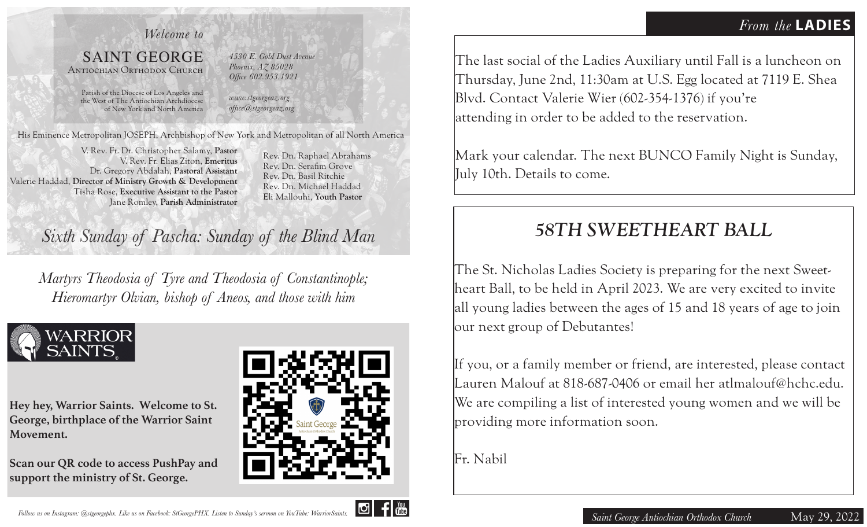## *Welcome to*

### SAINT GEORGE Antiochian Orthodox Church

*4530 E. Gold Dust Avenue Phoenix, AZ 85028 Office 602.953.1921*

Parish of the Diocese of Los Angeles and the West of The Antiochian Archdiocese of New York and North America

*www.stgeorgeaz.org office@stgeorgeaz.org*

His Eminence Metropolitan JOSEPH, Archbishop of New York and Metropolitan of all North America

V. Rev. Fr. Dr. Christopher Salamy, **Pastor** V. Rev. Fr. Elias Ziton, **Emeritus** Dr. Gregory Abdalah, **Pastoral Assistant**  Valerie Haddad, **Director of Ministry Growth & Development** Tisha Rose, **Executive Assistant to the Pastor** Jane Romley, **Parish Administrator**

Rev. Dn. Raphael Abrahams Rev. Dn. Serafim Grove Rev. Dn. Basil Ritchie Rev. Dn. Michael Haddad Eli Mallouhi, **Youth Pastor**

# *Sixth Sunday of Pascha: Sunday of the Blind Man*

*Martyrs Theodosia of Tyre and Theodosia of Constantinople; Hieromartyr Olvian, bishop of Aneos, and those with him*



**Hey hey, Warrior Saints. Welcome to St. George, birthplace of the Warrior Saint Movement.** 

**Scan our QR code to access PushPay and support the ministry of St. George.**



The last social of the Ladies Auxiliary until Fall is a luncheon on Thursday, June 2nd, 11:30am at U.S. Egg located at 7119 E. Shea Blvd. Contact Valerie Wier (602-354-1376) if you're attending in order to be added to the reservation.

Mark your calendar. The next BUNCO Family Night is Sunday, July 10th. Details to come.

# *58TH SWEETHEART BALL*

The St. Nicholas Ladies Society is preparing for the next Sweetheart Ball, to be held in April 2023. We are very excited to invite all young ladies between the ages of 15 and 18 years of age to join our next group of Debutantes!

If you, or a family member or friend, are interested, please contact Lauren Malouf at 818-687-0406 or email her atlmalouf@hchc.edu. We are compiling a list of interested young women and we will be providing more information soon.

Fr. Nabil

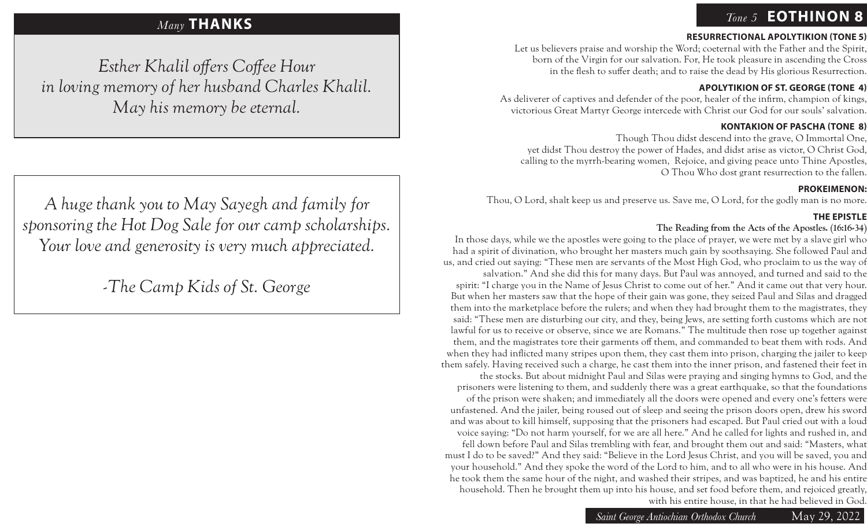# *Tone 5* **EOTHINON 8**

#### **RESURRECTIONAL APOLYTIKION (TONE 5)**

Let us believers praise and worship the Word; coeternal with the Father and the Spirit, born of the Virgin for our salvation. For, He took pleasure in ascending the Cross in the flesh to suffer death; and to raise the dead by His glorious Resurrection.

#### **APOLYTIKION OF ST. GEORGE (TONE 4)**

As deliverer of captives and defender of the poor, healer of the infirm, champion of kings, victorious Great Martyr George intercede with Christ our God for our souls' salvation.

#### **KONTAKION OF PASCHA (TONE 8)**

Though Thou didst descend into the grave, O Immortal One, yet didst Thou destroy the power of Hades, and didst arise as victor, O Christ God, calling to the myrrh-bearing women, Rejoice, and giving peace unto Thine Apostles, O Thou Who dost grant resurrection to the fallen.

#### **PROKEIMENON:**

Thou, O Lord, shalt keep us and preserve us. Save me, O Lord, for the godly man is no more.

#### **THE EPISTLE**

#### **The Reading from the Acts of the Apostles. (16:16-34)**

In those days, while we the apostles were going to the place of prayer, we were met by a slave girl who had a spirit of divination, who brought her masters much gain by soothsaying. She followed Paul and us, and cried out saying: "These men are servants of the Most High God, who proclaim to us the way of

salvation." And she did this for many days. But Paul was annoyed, and turned and said to the spirit: "I charge you in the Name of Jesus Christ to come out of her." And it came out that very hour. But when her masters saw that the hope of their gain was gone, they seized Paul and Silas and dragged them into the marketplace before the rulers; and when they had brought them to the magistrates, they said: "These men are disturbing our city, and they, being Jews, are setting forth customs which are not lawful for us to receive or observe, since we are Romans." The multitude then rose up together against them, and the magistrates tore their garments off them, and commanded to beat them with rods. And when they had inflicted many stripes upon them, they cast them into prison, charging the jailer to keep them safely. Having received such a charge, he cast them into the inner prison, and fastened their feet in

the stocks. But about midnight Paul and Silas were praying and singing hymns to God, and the prisoners were listening to them, and suddenly there was a great earthquake, so that the foundations of the prison were shaken; and immediately all the doors were opened and every one's fetters were unfastened. And the jailer, being roused out of sleep and seeing the prison doors open, drew his sword and was about to kill himself, supposing that the prisoners had escaped. But Paul cried out with a loud voice saying: "Do not harm yourself, for we are all here." And he called for lights and rushed in, and fell down before Paul and Silas trembling with fear, and brought them out and said: "Masters, what must I do to be saved?" And they said: "Believe in the Lord Jesus Christ, and you will be saved, you and your household." And they spoke the word of the Lord to him, and to all who were in his house. And he took them the same hour of the night, and washed their stripes, and was baptized, he and his entire household. Then he brought them up into his house, and set food before them, and rejoiced greatly, with his entire house, in that he had believed in God.

# *Many* **THANKS**

*Esther Khalil offers Coffee Hour in loving memory of her husband Charles Khalil. May his memory be eternal.*

*A huge thank you to May Sayegh and family for sponsoring the Hot Dog Sale for our camp scholarships. Your love and generosity is very much appreciated.*

*-The Camp Kids of St. George*

*Saint George Antiochian Orthodox Church* May 29, 2022